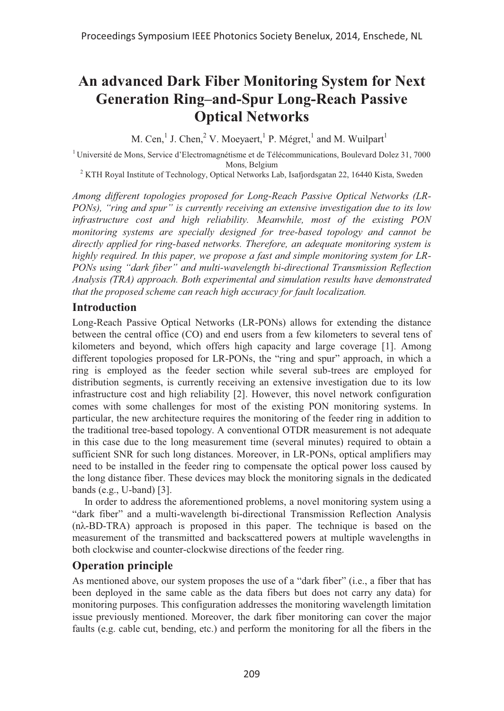# **An advanced Dark Fiber Monitoring System for Next Generation Ring–and-Spur Long-Reach Passive Optical Networks**

M. Cen,<sup>1</sup> J. Chen,<sup>2</sup> V. Moeyaert,<sup>1</sup> P. Mégret,<sup>1</sup> and M. Wuilpart<sup>1</sup>

<sup>1</sup>Université de Mons, Service d'Electromagnétisme et de Télécommunications, Boulevard Dolez 31, 7000 Mons, Belgium

<sup>2</sup> KTH Royal Institute of Technology, Optical Networks Lab, Isafjordsgatan 22, 16440 Kista, Sweden

*Among different topologies proposed for Long-Reach Passive Optical Networks (LR-PONs), "ring and spur" is currently receiving an extensive investigation due to its low infrastructure cost and high reliability. Meanwhile, most of the existing PON monitoring systems are specially designed for tree-based topology and cannot be directly applied for ring-based networks. Therefore, an adequate monitoring system is highly required. In this paper, we propose a fast and simple monitoring system for LR-PONs using "dark fiber" and multi-wavelength bi-directional Transmission Reflection Analysis (TRA) approach. Both experimental and simulation results have demonstrated that the proposed scheme can reach high accuracy for fault localization.* 

### **Introduction**

Long-Reach Passive Optical Networks (LR-PONs) allows for extending the distance between the central office (CO) and end users from a few kilometers to several tens of kilometers and beyond, which offers high capacity and large coverage [1]. Among different topologies proposed for LR-PONs, the "ring and spur" approach, in which a ring is employed as the feeder section while several sub-trees are employed for distribution segments, is currently receiving an extensive investigation due to its low infrastructure cost and high reliability [2]. However, this novel network configuration comes with some challenges for most of the existing PON monitoring systems. In particular, the new architecture requires the monitoring of the feeder ring in addition to the traditional tree-based topology. A conventional OTDR measurement is not adequate in this case due to the long measurement time (several minutes) required to obtain a sufficient SNR for such long distances. Moreover, in LR-PONs, optical amplifiers may need to be installed in the feeder ring to compensate the optical power loss caused by the long distance fiber. These devices may block the monitoring signals in the dedicated bands (e.g., U-band) [3].

In order to address the aforementioned problems, a novel monitoring system using a "dark fiber" and a multi-wavelength bi-directional Transmission Reflection Analysis (nλ-BD-TRA) approach is proposed in this paper. The technique is based on the measurement of the transmitted and backscattered powers at multiple wavelengths in both clockwise and counter-clockwise directions of the feeder ring.

## **Operation principle**

As mentioned above, our system proposes the use of a "dark fiber" (i.e., a fiber that has been deployed in the same cable as the data fibers but does not carry any data) for monitoring purposes. This configuration addresses the monitoring wavelength limitation issue previously mentioned. Moreover, the dark fiber monitoring can cover the major faults (e.g. cable cut, bending, etc.) and perform the monitoring for all the fibers in the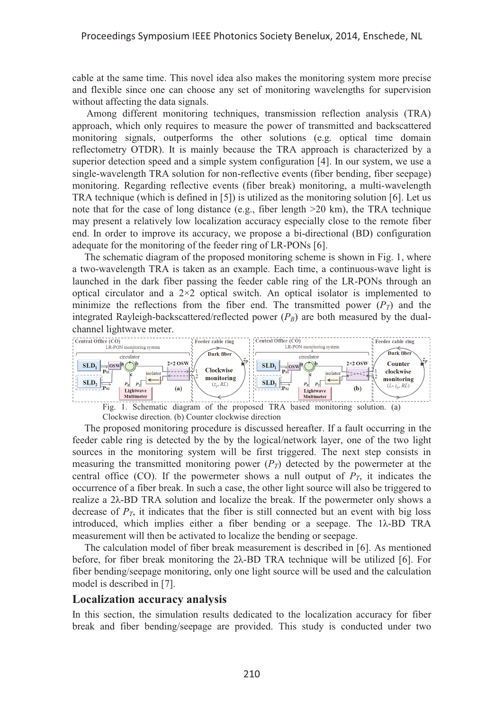cable at the same time. This novel idea also makes the monitoring system more precise and flexible since one can choose any set of monitoring wavelengths for supervision without affecting the data signals.

 Among different monitoring techniques, transmission reflection analysis (TRA) approach, which only requires to measure the power of transmitted and backscattered monitoring signals, outperforms the other solutions (e.g. optical time domain reflectometry OTDR). It is mainly because the TRA approach is characterized by a superior detection speed and a simple system configuration [4]. In our system, we use a single-wavelength TRA solution for non-reflective events (fiber bending, fiber seepage) monitoring. Regarding reflective events (fiber break) monitoring, a multi-wavelength TRA technique (which is defined in [5]) is utilized as the monitoring solution [6]. Let us note that for the case of long distance (e.g., fiber length  $>20$  km), the TRA technique may present a relatively low localization accuracy especially close to the remote fiber end. In order to improve its accuracy, we propose a bi-directional (BD) configuration adequate for the monitoring of the feeder ring of LR-PONs [6].

The schematic diagram of the proposed monitoring scheme is shown in Fig. 1, where a two-wavelength TRA is taken as an example. Each time, a continuous-wave light is launched in the dark fiber passing the feeder cable ring of the LR-PONs through an optical circulator and a  $2\times 2$  optical switch. An optical isolator is implemented to minimize the reflections from the fiber end. The transmitted power  $(P_T)$  and the integrated Rayleigh-backscattered/reflected power  $(P_B)$  are both measured by the dualchannel lightwave meter.



Clockwise direction. (b) Counter clockwise direction

The proposed monitoring procedure is discussed hereafter. If a fault occurring in the feeder cable ring is detected by the by the logical/network layer, one of the two light sources in the monitoring system will be first triggered. The next step consists in measuring the transmitted monitoring power  $(P_T)$  detected by the powermeter at the central office (CO). If the powermeter shows a null output of  $P<sub>T</sub>$ , it indicates the occurrence of a fiber break. In such a case, the other light source will also be triggered to realize a 2λ-BD TRA solution and localize the break. If the powermeter only shows a decrease of  $P_T$ , it indicates that the fiber is still connected but an event with big loss introduced, which implies either a fiber bending or a seepage. The 1λ-BD TRA measurement will then be activated to localize the bending or seepage.

The calculation model of fiber break measurement is described in [6]. As mentioned before, for fiber break monitoring the 2λ-BD TRA technique will be utilized [6]. For fiber bending/seepage monitoring, only one light source will be used and the calculation model is described in [7].

#### **Localization accuracy analysis**

In this section, the simulation results dedicated to the localization accuracy for fiber break and fiber bending/seepage are provided. This study is conducted under two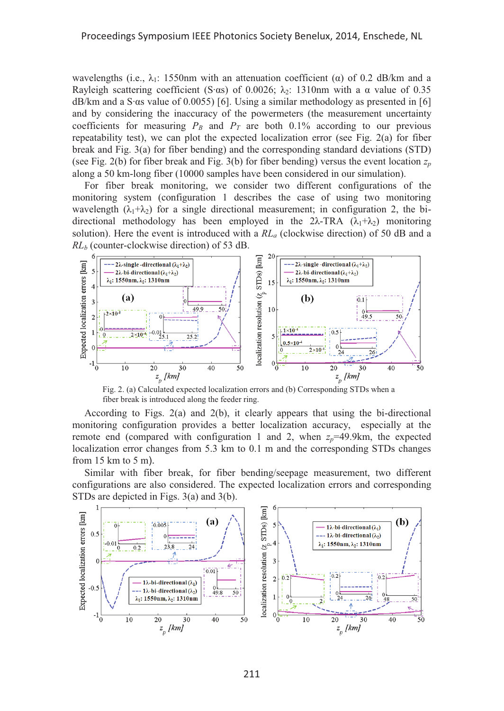wavelengths (i.e.,  $\lambda_1$ : 1550nm with an attenuation coefficient ( $\alpha$ ) of 0.2 dB/km and a Rayleigh scattering coefficient (S· $\alpha$ s) of 0.0026;  $\lambda$ <sub>2</sub>: 1310nm with a  $\alpha$  value of 0.35 dB/km and a S·αs value of 0.0055) [6]. Using a similar methodology as presented in [6] and by considering the inaccuracy of the powermeters (the measurement uncertainty coefficients for measuring  $P_B$  and  $P_T$  are both 0.1% according to our previous repeatability test), we can plot the expected localization error (see Fig. 2(a) for fiber break and Fig. 3(a) for fiber bending) and the corresponding standard deviations (STD) (see Fig. 2(b) for fiber break and Fig. 3(b) for fiber bending) versus the event location  $z_p$ along a 50 km-long fiber (10000 samples have been considered in our simulation).

For fiber break monitoring, we consider two different configurations of the monitoring system (configuration 1 describes the case of using two monitoring wavelength  $(\lambda_1+\lambda_2)$  for a single directional measurement; in configuration 2, the bidirectional methodology has been employed in the 2λ-TRA  $(\lambda_1+\lambda_2)$  monitoring solution). Here the event is introduced with a *RLa* (clockwise direction) of 50 dB and a *RLb* (counter-clockwise direction) of 53 dB.



Fig. 2. (a) Calculated expected localization errors and (b) Corresponding STDs when a fiber break is introduced along the feeder ring.

According to Figs. 2(a) and 2(b), it clearly appears that using the bi-directional monitoring configuration provides a better localization accuracy, especially at the remote end (compared with configuration 1 and 2, when  $z_p$ =49.9km, the expected localization error changes from 5.3 km to 0.1 m and the corresponding STDs changes from 15 km to 5 m).

Similar with fiber break, for fiber bending/seepage measurement, two different configurations are also considered. The expected localization errors and corresponding STDs are depicted in Figs. 3(a) and 3(b).